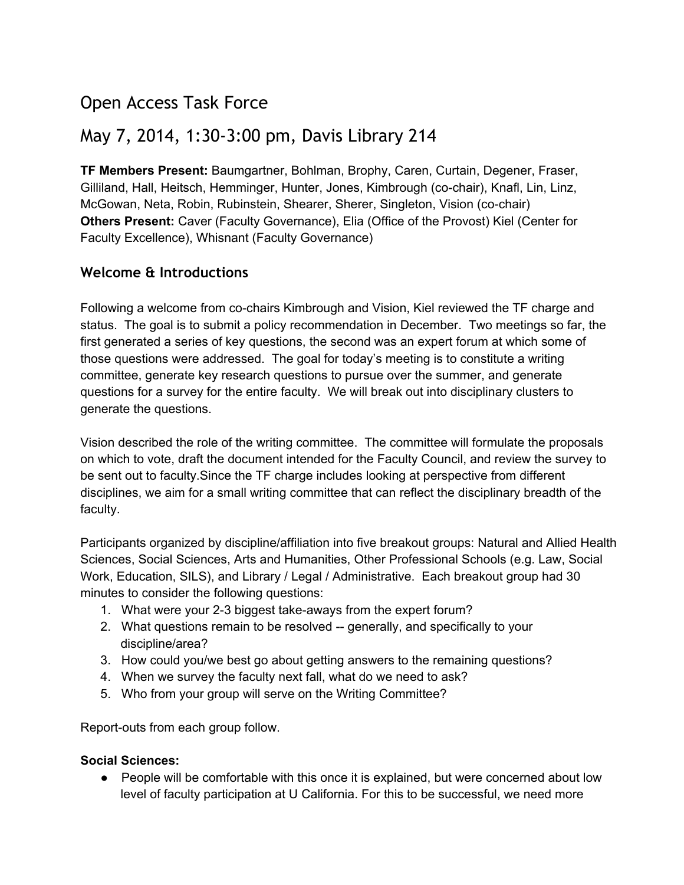# Open Access Task Force

## May 7, 2014, 1:30-3:00 pm, Davis Library 214

**TF Members Present:** Baumgartner, Bohlman, Brophy, Caren, Curtain, Degener, Fraser, Gilliland, Hall, Heitsch, Hemminger, Hunter, Jones, Kimbrough (cochair), Knafl, Lin, Linz, McGowan, Neta, Robin, Rubinstein, Shearer, Sherer, Singleton, Vision (cochair) **Others Present:** Caver (Faculty Governance), Elia (Office of the Provost) Kiel (Center for Faculty Excellence), Whisnant (Faculty Governance)

### **Welcome & Introductions**

Following a welcome from cochairs Kimbrough and Vision, Kiel reviewed the TF charge and status. The goal is to submit a policy recommendation in December. Two meetings so far, the first generated a series of key questions, the second was an expert forum at which some of those questions were addressed. The goal for today's meeting is to constitute a writing committee, generate key research questions to pursue over the summer, and generate questions for a survey for the entire faculty. We will break out into disciplinary clusters to generate the questions.

Vision described the role of the writing committee. The committee will formulate the proposals on which to vote, draft the document intended for the Faculty Council, and review the survey to be sent out to faculty.Since the TF charge includes looking at perspective from different disciplines, we aim for a small writing committee that can reflect the disciplinary breadth of the faculty.

Participants organized by discipline/affiliation into five breakout groups: Natural and Allied Health Sciences, Social Sciences, Arts and Humanities, Other Professional Schools (e.g. Law, Social Work, Education, SILS), and Library / Legal / Administrative. Each breakout group had 30 minutes to consider the following questions:

- 1. What were your 2-3 biggest take-aways from the expert forum?
- 2. What questions remain to be resolved -- generally, and specifically to your discipline/area?
- 3. How could you/we best go about getting answers to the remaining questions?
- 4. When we survey the faculty next fall, what do we need to ask?
- 5. Who from your group will serve on the Writing Committee?

Report-outs from each group follow.

#### **Social Sciences:**

● People will be comfortable with this once it is explained, but were concerned about low level of faculty participation at U California. For this to be successful, we need more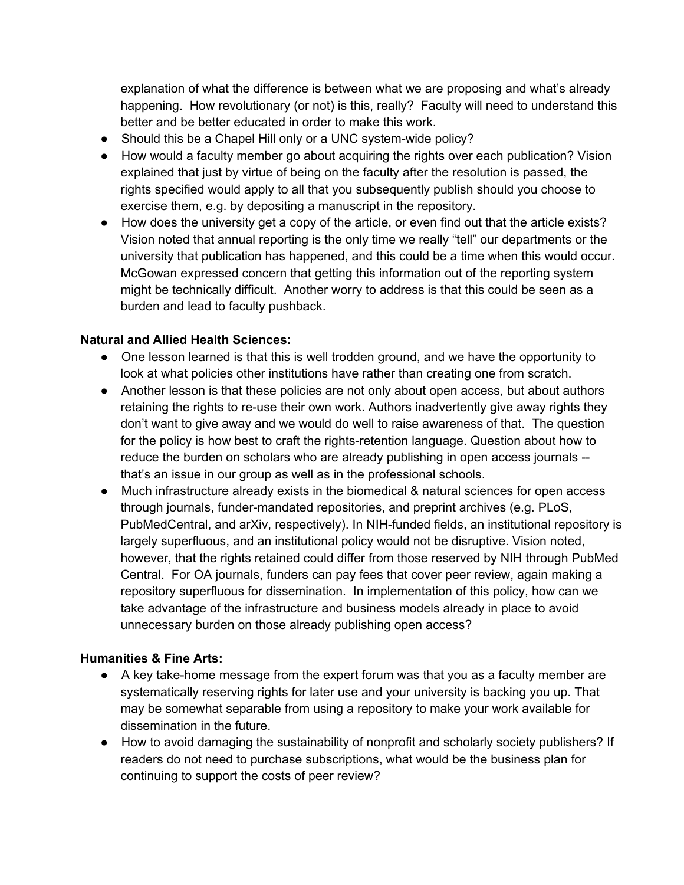explanation of what the difference is between what we are proposing and what's already happening. How revolutionary (or not) is this, really? Faculty will need to understand this better and be better educated in order to make this work.

- Should this be a Chapel Hill only or a UNC system-wide policy?
- How would a faculty member go about acquiring the rights over each publication? Vision explained that just by virtue of being on the faculty after the resolution is passed, the rights specified would apply to all that you subsequently publish should you choose to exercise them, e.g. by depositing a manuscript in the repository.
- How does the university get a copy of the article, or even find out that the article exists? Vision noted that annual reporting is the only time we really "tell" our departments or the university that publication has happened, and this could be a time when this would occur. McGowan expressed concern that getting this information out of the reporting system might be technically difficult. Another worry to address is that this could be seen as a burden and lead to faculty pushback.

#### **Natural and Allied Health Sciences:**

- One lesson learned is that this is well trodden ground, and we have the opportunity to look at what policies other institutions have rather than creating one from scratch.
- Another lesson is that these policies are not only about open access, but about authors retaining the rights to re-use their own work. Authors inadvertently give away rights they don't want to give away and we would do well to raise awareness of that. The question for the policy is how best to craft the rights-retention language. Question about how to reduce the burden on scholars who are already publishing in open access journals -that's an issue in our group as well as in the professional schools.
- Much infrastructure already exists in the biomedical & natural sciences for open access through journals, funder-mandated repositories, and preprint archives (e.g. PLoS, PubMedCentral, and arXiv, respectively). In NIH-funded fields, an institutional repository is largely superfluous, and an institutional policy would not be disruptive. Vision noted, however, that the rights retained could differ from those reserved by NIH through PubMed Central. For OA journals, funders can pay fees that cover peer review, again making a repository superfluous for dissemination. In implementation of this policy, how can we take advantage of the infrastructure and business models already in place to avoid unnecessary burden on those already publishing open access?

#### **Humanities & Fine Arts:**

- A key take-home message from the expert forum was that you as a faculty member are systematically reserving rights for later use and your university is backing you up. That may be somewhat separable from using a repository to make your work available for dissemination in the future.
- How to avoid damaging the sustainability of nonprofit and scholarly society publishers? If readers do not need to purchase subscriptions, what would be the business plan for continuing to support the costs of peer review?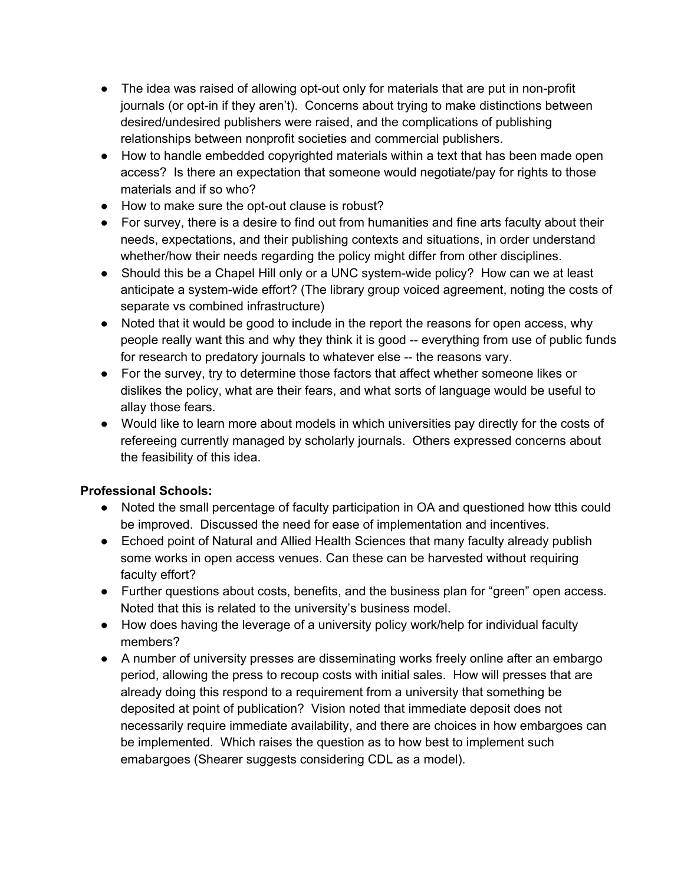- The idea was raised of allowing opt-out only for materials that are put in non-profit journals (or opt-in if they aren't). Concerns about trying to make distinctions between desired/undesired publishers were raised, and the complications of publishing relationships between nonprofit societies and commercial publishers.
- How to handle embedded copyrighted materials within a text that has been made open access? Is there an expectation that someone would negotiate/pay for rights to those materials and if so who?
- How to make sure the opt-out clause is robust?
- For survey, there is a desire to find out from humanities and fine arts faculty about their needs, expectations, and their publishing contexts and situations, in order understand whether/how their needs regarding the policy might differ from other disciplines.
- Should this be a Chapel Hill only or a UNC system-wide policy? How can we at least anticipate a system-wide effort? (The library group voiced agreement, noting the costs of separate vs combined infrastructure)
- Noted that it would be good to include in the report the reasons for open access, why people really want this and why they think it is good -- everything from use of public funds for research to predatory journals to whatever else -- the reasons vary.
- For the survey, try to determine those factors that affect whether someone likes or dislikes the policy, what are their fears, and what sorts of language would be useful to allay those fears.
- Would like to learn more about models in which universities pay directly for the costs of refereeing currently managed by scholarly journals. Others expressed concerns about the feasibility of this idea.

### **Professional Schools:**

- Noted the small percentage of faculty participation in OA and questioned how tthis could be improved. Discussed the need for ease of implementation and incentives.
- Echoed point of Natural and Allied Health Sciences that many faculty already publish some works in open access venues. Can these can be harvested without requiring faculty effort?
- Further questions about costs, benefits, and the business plan for "green" open access. Noted that this is related to the university's business model.
- How does having the leverage of a university policy work/help for individual faculty members?
- A number of university presses are disseminating works freely online after an embargo period, allowing the press to recoup costs with initial sales. How will presses that are already doing this respond to a requirement from a university that something be deposited at point of publication? Vision noted that immediate deposit does not necessarily require immediate availability, and there are choices in how embargoes can be implemented. Which raises the question as to how best to implement such emabargoes (Shearer suggests considering CDL as a model).